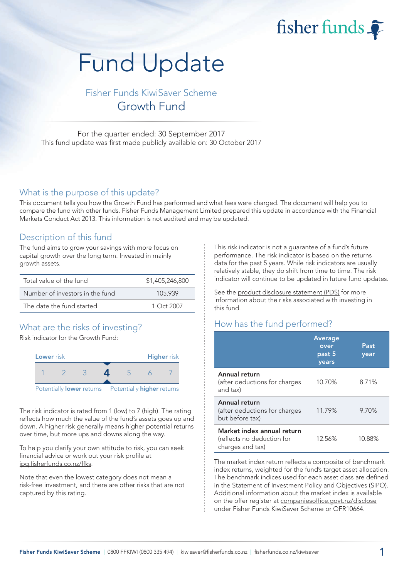fisher funds

# Fund Update

Fisher Funds KiwiSaver Scheme Growth Fund

For the quarter ended: 30 September 2017 This fund update was first made publicly available on: 30 October 2017

## What is the purpose of this update?

This document tells you how the Growth Fund has performed and what fees were charged. The document will help you to compare the fund with other funds. Fisher Funds Management Limited prepared this update in accordance with the Financial Markets Conduct Act 2013. This information is not audited and may be updated.

## Description of this fund

The fund aims to grow your savings with more focus on capital growth over the long term. Invested in mainly growth assets.

| Total value of the fund         | \$1,405,246,800 |
|---------------------------------|-----------------|
| Number of investors in the fund | 105.939         |
| The date the fund started       | $1$ Oct 2007    |

# What are the risks of investing?

Risk indicator for the Growth Fund:



The risk indicator is rated from 1 (low) to 7 (high). The rating reflects how much the value of the fund's assets goes up and down. A higher risk generally means higher potential returns over time, but more ups and downs along the way.

To help you clarify your own attitude to risk, you can seek financial advice or work out your risk profile at [ipq.fisherfunds.co.nz/ffks.](https://ipq.fisherfunds.co.nz/ffks)

Note that even the lowest category does not mean a risk-free investment, and there are other risks that are not captured by this rating.

This risk indicator is not a guarantee of a fund's future performance. The risk indicator is based on the returns data for the past 5 years. While risk indicators are usually relatively stable, they do shift from time to time. The risk indicator will continue to be updated in future fund updates.

See the [product disclosure statement \(PDS\)](https://fisherfunds.co.nz/assets/PDS/Fisher-Funds-KiwiSaver-Scheme-PDS.pdf) for more information about the risks associated with investing in this fund.

# How has the fund performed?

|                                                                              | Average<br>over<br>past 5<br>years | Past<br>year |
|------------------------------------------------------------------------------|------------------------------------|--------------|
| Annual return<br>(after deductions for charges<br>and tax)                   | 10.70%                             | 8.71%        |
| Annual return<br>(after deductions for charges<br>but before tax)            | 11.79%                             | 9.70%        |
| Market index annual return<br>(reflects no deduction for<br>charges and tax) | 12.56%                             | 10.88%       |

The market index return reflects a composite of benchmark index returns, weighted for the fund's target asset allocation. The benchmark indices used for each asset class are defined in the Statement of Investment Policy and Objectives (SIPO). Additional information about the market index is available on the offer register at [companiesoffice.govt.nz/disclose](http://companiesoffice.govt.nz/disclose) under Fisher Funds KiwiSaver Scheme or OFR10664.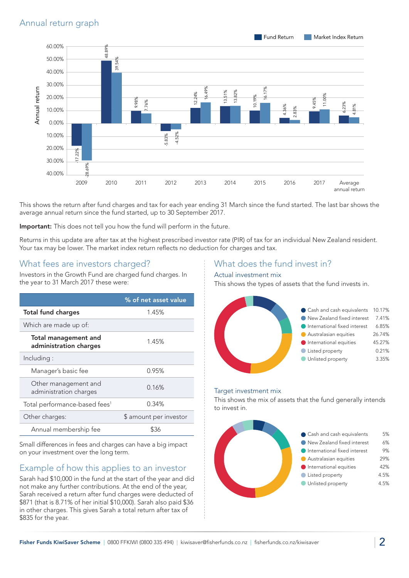

This shows the return after fund charges and tax for each year ending 31 March since the fund started. The last bar shows the average annual return since the fund started, up to 30 September 2017.

Important: This does not tell you how the fund will perform in the future.

Returns in this update are after tax at the highest prescribed investor rate (PIR) of tax for an individual New Zealand resident. Your tax may be lower. The market index return reflects no deduction for charges and tax.

## What fees are investors charged?

Investors in the Growth Fund are charged fund charges. In the year to 31 March 2017 these were:

|                                                       | % of net asset value   |  |
|-------------------------------------------------------|------------------------|--|
| <b>Total fund charges</b>                             | 1.45%                  |  |
| Which are made up of:                                 |                        |  |
| <b>Total management and</b><br>administration charges | 1.45%                  |  |
| Including:                                            |                        |  |
| Manager's basic fee                                   | 0.95%                  |  |
| Other management and<br>administration charges        | 0.16%                  |  |
| Total performance-based fees <sup>1</sup>             | 0.34%                  |  |
| Other charges:                                        | \$ amount per investor |  |
| Annual membership fee                                 |                        |  |

Small differences in fees and charges can have a big impact on your investment over the long term.

# Example of how this applies to an investor

Sarah had \$10,000 in the fund at the start of the year and did not make any further contributions. At the end of the year, Sarah received a return after fund charges were deducted of \$871 (that is 8.71% of her initial \$10,000). Sarah also paid \$36 in other charges. This gives Sarah a total return after tax of \$835 for the year.

# What does the fund invest in?

#### Actual investment mix

This shows the types of assets that the fund invests in.



#### Target investment mix

This shows the mix of assets that the fund generally intends to invest in.